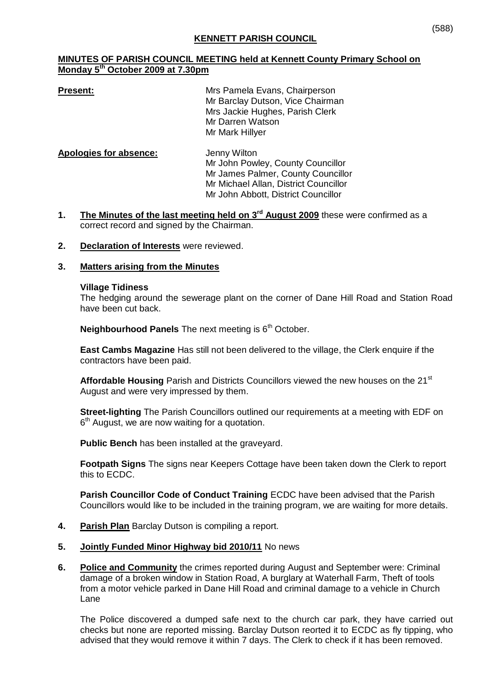# **MINUTES OF PARISH COUNCIL MEETING held at Kennett County Primary School on Monday 5 th October 2009 at 7.30pm**

**Present:** Mrs Pamela Evans, Chairperson Mr Barclay Dutson, Vice Chairman Mrs Jackie Hughes, Parish Clerk Mr Darren Watson Mr Mark Hillyer

| Apologies for absence: | Jenny Wilton                          |
|------------------------|---------------------------------------|
|                        | Mr John Powley, County Councillor     |
|                        | Mr James Palmer, County Councillor    |
|                        | Mr Michael Allan, District Councillor |
|                        | Mr John Abbott, District Councillor   |

- 1. The Minutes of the last meeting held on 3<sup>rd</sup> August 2009 these were confirmed as a correct record and signed by the Chairman.
- **2. Declaration of Interests** were reviewed.

# **3. Matters arising from the Minutes**

#### **Village Tidiness**

The hedging around the sewerage plant on the corner of Dane Hill Road and Station Road have been cut back.

**Neighbourhood Panels** The next meeting is 6<sup>th</sup> October.

**East Cambs Magazine** Has still not been delivered to the village, the Clerk enquire if the contractors have been paid.

Affordable Housing Parish and Districts Councillors viewed the new houses on the 21<sup>st</sup> August and were very impressed by them.

**Street-lighting** The Parish Councillors outlined our requirements at a meeting with EDF on 6<sup>th</sup> August, we are now waiting for a quotation.

**Public Bench** has been installed at the graveyard.

**Footpath Signs** The signs near Keepers Cottage have been taken down the Clerk to report this to ECDC.

**Parish Councillor Code of Conduct Training** ECDC have been advised that the Parish Councillors would like to be included in the training program, we are waiting for more details.

- **4. Parish Plan** Barclay Dutson is compiling a report.
- **5. Jointly Funded Minor Highway bid 2010/11** No news
- **6. Police and Community** the crimes reported during August and September were: Criminal damage of a broken window in Station Road, A burglary at Waterhall Farm, Theft of tools from a motor vehicle parked in Dane Hill Road and criminal damage to a vehicle in Church Lane

The Police discovered a dumped safe next to the church car park, they have carried out checks but none are reported missing. Barclay Dutson reorted it to ECDC as fly tipping, who advised that they would remove it within 7 days. The Clerk to check if it has been removed.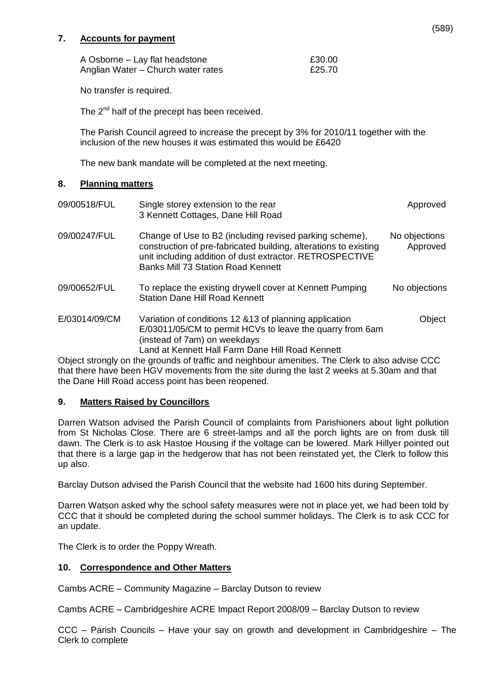# **7. Accounts for payment**

| A Osborne - Lay flat headstone     | £30.00 |
|------------------------------------|--------|
| Anglian Water – Church water rates | £25.70 |

No transfer is required.

The 2<sup>nd</sup> half of the precept has been received.

The Parish Council agreed to increase the precept by 3% for 2010/11 together with the inclusion of the new houses it was estimated this would be £6420

The new bank mandate will be completed at the next meeting.

## **8. Planning matters**

| 09/00518/FUL  | Single storey extension to the rear<br>3 Kennett Cottages, Dane Hill Road                                                                                                                                                            | Approved                  |
|---------------|--------------------------------------------------------------------------------------------------------------------------------------------------------------------------------------------------------------------------------------|---------------------------|
| 09/00247/FUL  | Change of Use to B2 (including revised parking scheme),<br>construction of pre-fabricated building, alterations to existing<br>unit including addition of dust extractor. RETROSPECTIVE<br><b>Banks Mill 73 Station Road Kennett</b> | No objections<br>Approved |
| 09/00652/FUL  | To replace the existing drywell cover at Kennett Pumping<br><b>Station Dane Hill Road Kennett</b>                                                                                                                                    | No objections             |
| E/03014/09/CM | Variation of conditions 12 & 13 of planning application<br>E/03011/05/CM to permit HCVs to leave the quarry from 6am<br>(instead of 7am) on weekdays<br>Land at Kennett Hall Farm Dane Hill Road Kennett                             | Object                    |
|               | Object strongly on the grounds of traffic and neighbour amonities. The Clerk to also advise CCC                                                                                                                                      |                           |

Object strongly on the grounds of traffic and neighbour amenities. The Clerk to also advise CCC that there have been HGV movements from the site during the last 2 weeks at 5.30am and that the Dane Hill Road access point has been reopened.

## **9. Matters Raised by Councillors**

Darren Watson advised the Parish Council of complaints from Parishioners about light pollution from St Nicholas Close. There are 6 street-lamps and all the porch lights are on from dusk till dawn. The Clerk is to ask Hastoe Housing if the voltage can be lowered. Mark Hillyer pointed out that there is a large gap in the hedgerow that has not been reinstated yet, the Clerk to follow this up also.

Barclay Dutson advised the Parish Council that the website had 1600 hits during September.

Darren Watson asked why the school safety measures were not in place yet, we had been told by CCC that it should be completed during the school summer holidays. The Clerk is to ask CCC for an update.

The Clerk is to order the Poppy Wreath.

## **10. Correspondence and Other Matters**

Cambs ACRE – Community Magazine – Barclay Dutson to review

Cambs ACRE – Cambridgeshire ACRE Impact Report 2008/09 – Barclay Dutson to review

CCC – Parish Councils – Have your say on growth and development in Cambridgeshire – The Clerk to complete